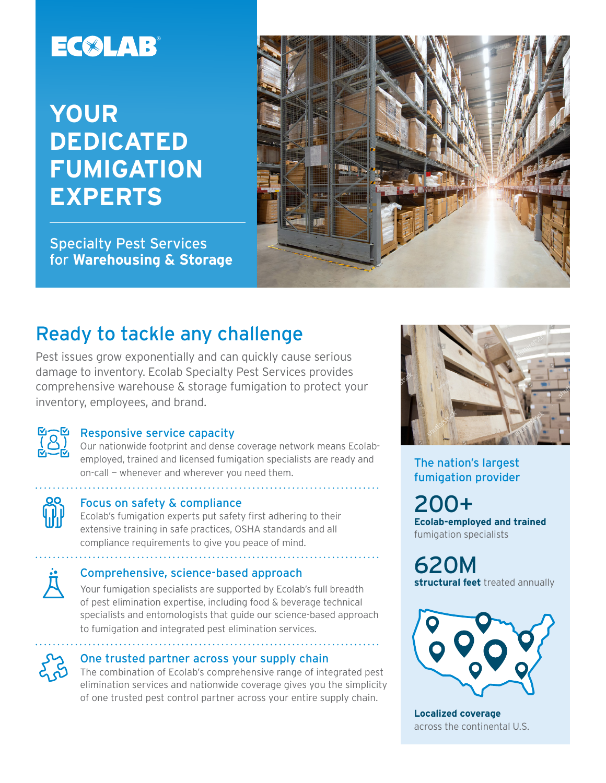# EC®LAB®

# **YOUR DEDICATED FUMIGATION EXPERTS**

Specialty Pest Services for **Warehousing & Storage**



## Ready to tackle any challenge

Pest issues grow exponentially and can quickly cause serious damage to inventory. Ecolab Specialty Pest Services provides comprehensive warehouse & storage fumigation to protect your inventory, employees, and brand.



#### Responsive service capacity

Our nationwide footprint and dense coverage network means Ecolabemployed, trained and licensed fumigation specialists are ready and on-call — whenever and wherever you need them.



#### Focus on safety & compliance

Ecolab's fumigation experts put safety first adhering to their extensive training in safe practices, OSHA standards and all compliance requirements to give you peace of mind.



#### Comprehensive, science-based approach

Your fumigation specialists are supported by Ecolab's full breadth of pest elimination expertise, including food & beverage technical specialists and entomologists that guide our science-based approach to fumigation and integrated pest elimination services.



#### One trusted partner across your supply chain

The combination of Ecolab's comprehensive range of integrated pest elimination services and nationwide coverage gives you the simplicity of one trusted pest control partner across your entire supply chain.



The nation's largest fumigation provider

200+ **Ecolab-employed and trained** fumigation specialists

620M **structural feet** treated annually



**Localized coverage** across the continental U.S.